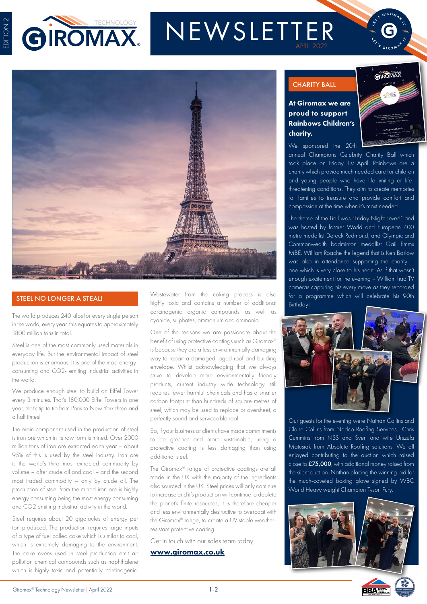

# NEWSLETTER



The world produces 240 kilos for every single person in the world, every year, this equates to approximately 1800 million tons in total.

Steel is one of the most commonly used materials in everyday life. But the environmental impact of steel production is enormous. It is one of the most energyconsuming and CO2- emiting industrial activities in the world.

We produce enough steel to build an Eiffel Tower every 3 minutes. That's 180,000 Eiffel Towers in one year, that's tip to tip from Paris to New York three and a half times!

The main component used in the production of steel is iron ore which in its raw form is mined. Over 2000 million tons of iron ore extracted each year – about 95% of this is used by the steel industry. Iron ore is the world's third most extracted commodity by volume – after crude oil and coal – and the second most traded commodity – only by crude oil. The production of steel from the mined iron ore is highly energy consuming being the most energy consuming and CO2 emitting industrial activity in the world.

Steel requires about 20 gigajoules of energy per ton produced. The production requires large inputs of a type of fuel called coke which is similar to coal, which is extremely damaging to the environment. The coke ovens used in steel production emit air pollution chemical compounds such as naphthalene which is highly toxic and potentially carcinogenic.

**STEEL NO LONGER A STEAL!** Wastewater from the coking process is also highly toxic and contains a number of additional carcinogenic organic compounds as well as cyanide, sulphates, ammonium and ammonia.

> One of the reasons we are passionate about the benefit of using protective coatings such as Giromax® is because they are a less environmentally damaging way to repair a damaged, aged roof and building envelope. Whilst acknowledging that we always strive to develop more environmentally friendly products, current industry wide technology still requires fewer harmful chemicals and has a smaller carbon footprint than hundreds of square metres of steel, which may be used to replace or oversheet, a perfectly sound and serviceable roof.

> So, if your business or clients have made commitments to be greener and more sustainable, using a protective coating is less damaging than using additional steel.

> The Giromax® range of protective coatings are all made in the UK with the majority of the ingredients also sourced in the UK. Steel prices will only continue to increase and it's production will continue to deplete the planet's finite resources, it is therefore cheaper and less environmentally destructive to overcoat with the Giromax® range, to create a UV stable weatherresistant protective coating.

Get in touch with our sales team today….

#### [www.giromax.co.uk](http://www.giromax.co.uk)

## CHARITY BALL

At Giromax we are proud to support Rainbows Children's charity.



We sponsored the 20th annual Champions Celebrity Charity Ball which took place on Friday 1st April. Rainbows are a charity which provide much needed care for children and young people who have life-limiting or lifethreatening conditions. They aim to create memories for families to treasure and provide comfort and compassion at the time when it's most needed.

The theme of the Ball was "Friday Night Fever!" and was hosted by former World and European 400 metre medallist Dereck Redmond, and Olympic and Commonwealth badminton medallist Gail Emms MBE. William Roache the legend that is Ken Barlow was also in attendance supporting the charity – one which is very close to his heart. As if that wasn't enough excitement for the evening – William had TV cameras capturing his every move as they recorded for a programme which will celebrate his 90th Birthday!



Our guests for the evening were Nathan Collins and Claire Collins from Nadco Roofing Services, Chris Cummins from NSS and Sven and wife Urszula Matusiak from Absolute Roofing solutions. We all enjoyed contributing to the auction which raised close to £75,000, with additional money raised from the silent auction. Nathan placing the winning bid for the much-coveted boxing glove signed by WBC World Heavy weight Champion Tyson Fury.



**BBA**